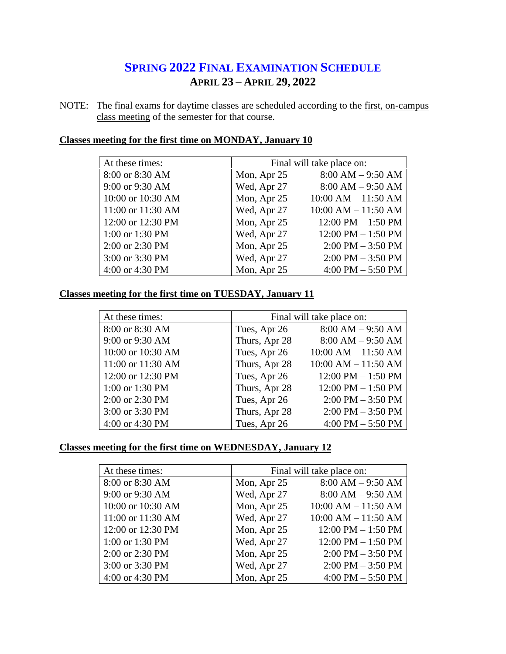# **SPRING 2022 FINAL EXAMINATION SCHEDULE APRIL 23 – APRIL 29, 2022**

NOTE: The final exams for daytime classes are scheduled according to the first, on-campus class meeting of the semester for that course.

| At these times:   |             | Final will take place on:            |  |
|-------------------|-------------|--------------------------------------|--|
| 8:00 or 8:30 AM   | Mon, Apr 25 | $8:00 AM - 9:50 AM$                  |  |
| 9:00 or 9:30 AM   | Wed, Apr 27 | $8:00 AM - 9:50 AM$                  |  |
| 10:00 or 10:30 AM | Mon, Apr 25 | $10:00$ AM $- 11:50$ AM              |  |
| 11:00 or 11:30 AM | Wed, Apr 27 | $10:00$ AM $- 11:50$ AM              |  |
| 12:00 or 12:30 PM | Mon, Apr 25 | $12:00 \text{ PM} - 1:50 \text{ PM}$ |  |
| 1:00 or 1:30 PM   | Wed, Apr 27 | $12:00 \text{ PM} - 1:50 \text{ PM}$ |  |
| 2:00 or 2:30 PM   | Mon, Apr 25 | $2:00 \text{ PM} - 3:50 \text{ PM}$  |  |
| 3:00 or 3:30 PM   | Wed, Apr 27 | $2:00$ PM $-3:50$ PM                 |  |
| 4:00 or 4:30 PM   | Mon, Apr 25 | 4:00 PM $-$ 5:50 PM                  |  |

## **Classes meeting for the first time on MONDAY, January 10**

#### **Classes meeting for the first time on TUESDAY, January 11**

| At these times:   | Final will take place on: |                         |
|-------------------|---------------------------|-------------------------|
| 8:00 or 8:30 AM   | Tues, Apr 26              | $8:00 AM - 9:50 AM$     |
| 9:00 or 9:30 AM   | Thurs, Apr 28             | $8:00 AM - 9:50 AM$     |
| 10:00 or 10:30 AM | Tues, Apr 26              | $10:00$ AM $- 11:50$ AM |
| 11:00 or 11:30 AM | Thurs, Apr 28             | $10:00$ AM $- 11:50$ AM |
| 12:00 or 12:30 PM | Tues, Apr 26              | $12:00$ PM $- 1:50$ PM  |
| 1:00 or 1:30 PM   | Thurs, Apr 28             | $12:00$ PM $- 1:50$ PM  |
| 2:00 or 2:30 PM   | Tues, Apr 26              | $2:00$ PM $-3:50$ PM    |
| 3:00 or 3:30 PM   | Thurs, Apr 28             | $2:00$ PM $-3:50$ PM    |
| 4:00 or 4:30 PM   | Tues, Apr 26              | 4:00 PM $-$ 5:50 PM     |

# **Classes meeting for the first time on WEDNESDAY, January 12**

| At these times:   | Final will take place on: |                                     |
|-------------------|---------------------------|-------------------------------------|
| 8:00 or 8:30 AM   | Mon, Apr 25               | $8:00 AM - 9:50 AM$                 |
| 9:00 or 9:30 AM   | Wed, Apr 27               | $8:00 AM - 9:50 AM$                 |
| 10:00 or 10:30 AM | Mon, Apr 25               | $10:00$ AM $- 11:50$ AM             |
| 11:00 or 11:30 AM | Wed, Apr 27               | $10:00$ AM $- 11:50$ AM             |
| 12:00 or 12:30 PM | Mon, Apr 25               | $12:00$ PM $- 1:50$ PM              |
| 1:00 or 1:30 PM   | Wed, Apr 27               | 12:00 PM $-$ 1:50 PM                |
| 2:00 or 2:30 PM   | Mon, Apr 25               | $2:00 \text{ PM} - 3:50 \text{ PM}$ |
| 3:00 or 3:30 PM   | Wed, Apr 27               | $2:00 \text{ PM} - 3:50 \text{ PM}$ |
| 4:00 or 4:30 PM   | Mon, Apr 25               | 4:00 PM $-$ 5:50 PM                 |